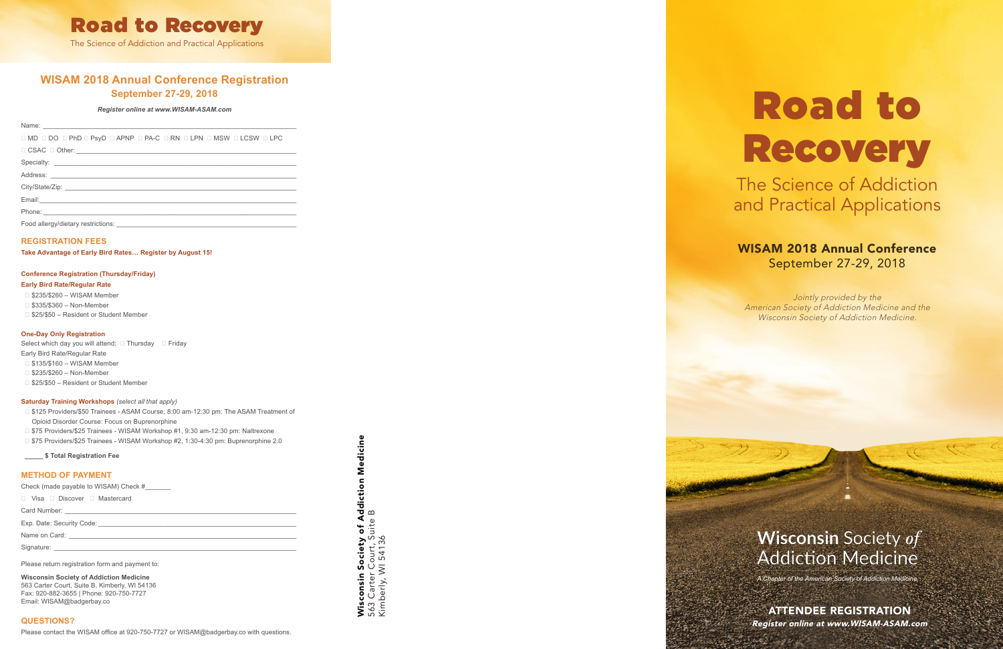## **WISAM 2018 Annual Conference Registration September 27-29, 2018**

#### *Register online at www.WISAM-ASAM.com*

| OMD ODO OPhD OPSyD OAPNP OPA-C ORN OLPN OMSW OLCSW OLPC |
|---------------------------------------------------------|
| $\Box$ CSAC $\Box$ Other: $\Box$                        |
|                                                         |
|                                                         |
|                                                         |
|                                                         |
|                                                         |
|                                                         |

#### **REGISTRATION FEES**

**Take Advantage of Early Bird Rates… Register by August 15!**

## **Conference Registration (Thursday/Friday)**

#### **Early Bird Rate/Regular Rate**

- \$235/\$260 WISAM Member
- □ \$335/\$360 Non-Member
- □ \$25/\$50 Resident or Student Member

#### **One-Day Only Registration**

Select which day you will attend:  $\Box$  Thursday  $\Box$  Friday Early Bird Rate/Regular Rate □ \$135/\$160 – WISAM Member

- □ \$235/\$260 Non-Member
- □ \$25/\$50 Resident or Student Member

#### **Saturday Training Workshops** *(select all that apply)*

- □ \$125 Providers/\$50 Trainees ASAM Course, 8:00 am-12:30 pm: The ASAM Treatment of Opioid Disorder Course: Focus on Buprenorphine
- □ \$75 Providers/\$25 Trainees WISAM Workshop #1, 9:30 am-12:30 pm: Naltrexone
- □ \$75 Providers/\$25 Trainees WISAM Workshop #2, 1:30-4:30 pm: Buprenorphine 2.0

Medicine Wisconsin Society of Addiction Medicine **Wisconsin Society of Addiction**<br>563 Carter Court, Suite B<br>Kimberly, WI 54136 563 Carter Court, Suite B Kimberly, WI 54136

 **\_\_\_\_\_ \$ Total Registration Fee** 

#### **METHOD OF PAYMENT**

Check (made payable to WISAM) Check #\_\_\_\_\_\_\_

Visa Discover Mastercard

Card Number:

Exp. Date: Security Code:

Name on Card:

Signature: \_\_\_\_\_\_\_\_\_\_\_\_\_\_\_\_\_\_\_\_\_\_\_\_\_\_\_\_\_\_\_\_\_\_\_\_\_\_\_\_\_\_\_\_\_\_\_\_\_\_\_\_\_\_\_\_\_\_\_\_\_\_\_\_\_\_

Please return registration form and payment to:

**Wisconsin Society of Addiction Medicine** 563 Carter Court, Suite B, Kimberly, WI 54136 Fax: 920-882-3655 | Phone: 920-750-7727 Email: WISAM@badgerbay.co

#### **QUESTIONS?**

# Road to

Recovery

The Science of Addiction and Practical Applications

## WISAM 2018 Annual Conference September 27-29, 2018

*A Chapter of the American Society of Addiction Medicine*

ATTENDEE REGISTRATION Register online at www.WISAM-ASAM.com

Jointly provided by the American Society of Addiction Medicine and the Wisconsin Society of Addiction Medicine.

# **Wisconsin Society of Addiction Medicine**



The Science of Addiction and Practical Applications